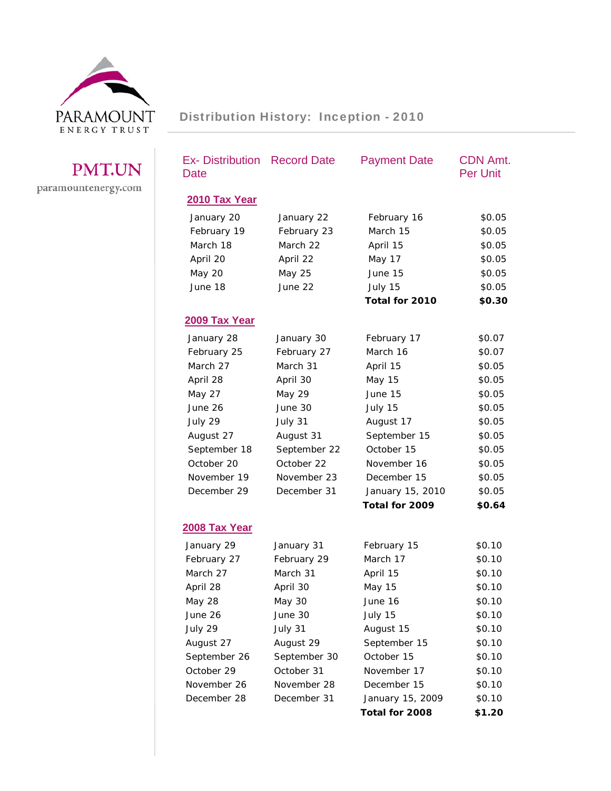

## PMT.UN paramountenergy.com

| <b>Ex- Distribution Record Date</b><br>Date |              | <b>Payment Date</b> | <b>CDN Amt.</b><br><b>Per Unit</b> |
|---------------------------------------------|--------------|---------------------|------------------------------------|
| 2010 Tax Year                               |              |                     |                                    |
| January 20                                  | January 22   | February 16         | \$0.05                             |
| February 19                                 | February 23  | March 15            | \$0.05                             |
| March 18                                    | March 22     | April 15            | \$0.05                             |
| April 20                                    | April 22     | May 17              | \$0.05                             |
| <b>May 20</b>                               | May 25       | June 15             | \$0.05                             |
| June 18                                     | June 22      | July 15             | \$0.05                             |
|                                             |              | Total for 2010      | \$0.30                             |
| 2009 Tax Year                               |              |                     |                                    |
| January 28                                  | January 30   | February 17         | \$0.07                             |
| February 25                                 | February 27  | March 16            | \$0.07                             |
| March 27                                    | March 31     | April 15            | \$0.05                             |
| April 28                                    | April 30     | <b>May 15</b>       | \$0.05                             |
| <b>May 27</b>                               | May 29       | June 15             | \$0.05                             |
| June 26                                     | June 30      | July 15             | \$0.05                             |
| July 29                                     | July 31      | August 17           | \$0.05                             |
| August 27                                   | August 31    | September 15        | \$0.05                             |
| September 18                                | September 22 | October 15          | \$0.05                             |
| October 20                                  | October 22   | November 16         | \$0.05                             |
| November 19                                 | November 23  | December 15         | \$0.05                             |
| December 29                                 | December 31  | January 15, 2010    | \$0.05                             |
|                                             |              | Total for 2009      | \$0.64                             |
| <u>2008 Tax Year</u>                        |              |                     |                                    |
| January 29                                  | January 31   | February 15         | \$0.10                             |
| February 27                                 | February 29  | March 17            | \$0.10                             |
| March 27                                    | March 31     | April 15            | \$0.10                             |
| April 28                                    | April 30     | May 15              | \$0.10                             |
| May 28                                      | May 30       | June 16             | \$0.10                             |
| June 26                                     | June 30      | July 15             | \$0.10                             |
| July 29                                     | July 31      | August 15           | \$0.10                             |
| August 27                                   | August 29    | September 15        | \$0.10                             |
| September 26                                | September 30 | October 15          | \$0.10                             |
| October 29                                  | October 31   | November 17         | \$0.10                             |
| November 26                                 | November 28  | December 15         | \$0.10                             |
| December 28                                 | December 31  | January 15, 2009    | \$0.10                             |
|                                             |              | Total for 2008      | \$1.20                             |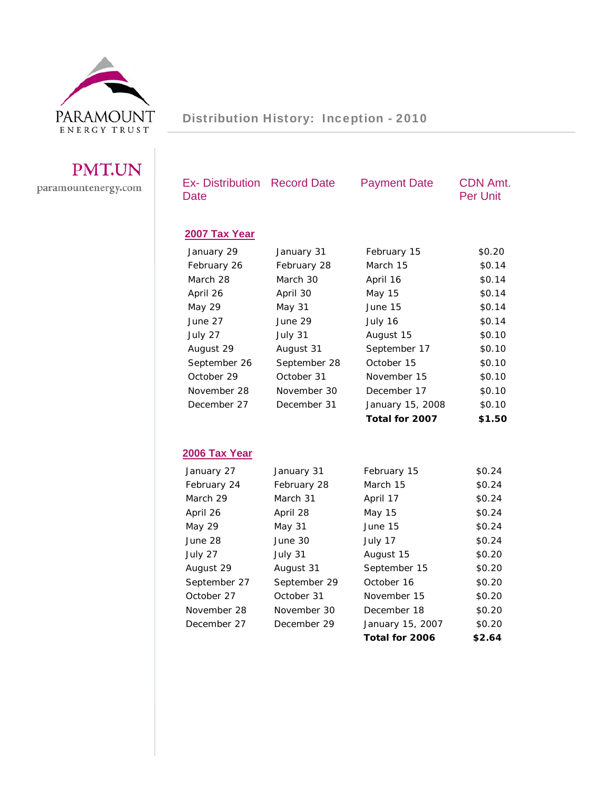

Distribution History: Inception - 2010

## PMT.UN paramountenergy.com

| <b>Ex-Distribution</b><br>Date | <b>Record Date</b> | <b>Payment Date</b> | CDN Amt.<br><b>Per Unit</b> |
|--------------------------------|--------------------|---------------------|-----------------------------|
| 2007 Tax Year                  |                    |                     |                             |
| January 29                     | January 31         | February 15         | \$0.20                      |
| February 26                    | February 28        | March 15            | \$0.14                      |
| March 28                       | March 30           | April 16            | \$0.14                      |
| April 26                       | April 30           | <b>May 15</b>       | \$0.14                      |
| <b>May 29</b>                  | <b>May 31</b>      | June 15             | \$0.14                      |
| June 27                        | June 29            | July 16             | \$0.14                      |
| July 27                        | July 31            | August 15           | \$0.10                      |
| August 29                      | August 31          | September 17        | \$0.10                      |
| September 26                   | September 28       | October 15          | \$0.10                      |
| October 29                     | October 31         | November 15         | \$0.10                      |
| November 28                    | November 30        | December 17         | \$0.10                      |
| December 27                    | December 31        | January 15, 2008    | \$0.10                      |
|                                |                    | Total for 2007      | \$1.50                      |
|                                |                    |                     |                             |
| 2006 Tax Year                  |                    |                     |                             |
| January 27                     | January 31         | February 15         | \$0.24                      |
| February 24                    | February 28        | March 15            | \$0.24                      |
| March 29                       | March 31           | April 17            | \$0.24                      |
| April 26                       | April 28           | <b>May 15</b>       | \$0.24                      |
| May 29                         | <b>May 31</b>      | June 15             | \$0.24                      |
| June 28                        | June 30            | July 17             | \$0.24                      |
| July 27                        | July 31            | August 15           | \$0.20                      |
| August 29                      | August 31          | September 15        | \$0.20                      |
| September 27                   | September 29       | October 16          | \$0.20                      |
| October 27                     | October 31         | November 15         | \$0.20                      |
| November 28                    | November 30        | December 18         | \$0.20                      |
| December 27                    | December 29        | January 15, 2007    | \$0.20                      |
|                                |                    | Total for 2006      | \$2.64                      |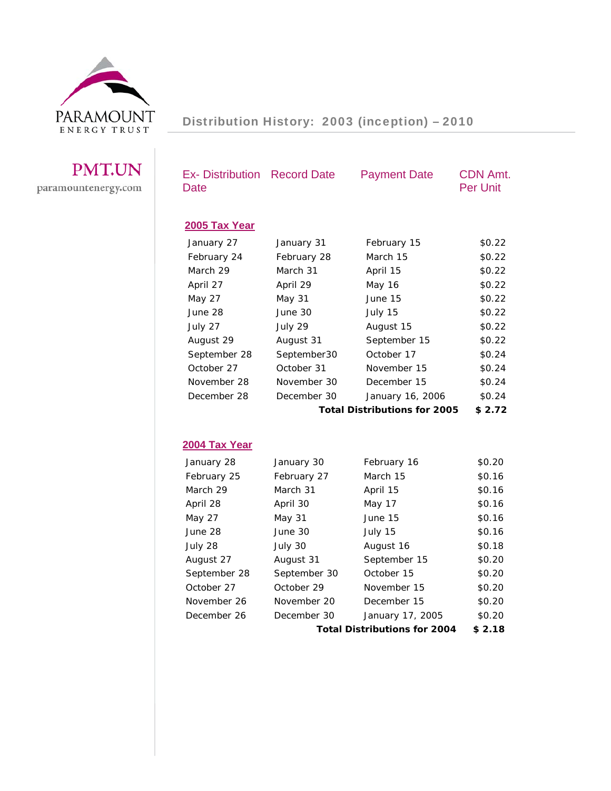

| <b>PMT.UN</b>       |  |
|---------------------|--|
| paramountenergy.com |  |

| <b>Ex- Distribution Record Date</b><br>Date |               | <b>Payment Date</b>                 | <b>CDN Amt.</b><br><b>Per Unit</b> |
|---------------------------------------------|---------------|-------------------------------------|------------------------------------|
| 2005 Tax Year                               |               |                                     |                                    |
| January 27                                  | January 31    | February 15                         | \$0.22                             |
| February 24                                 | February 28   | March 15                            | \$0.22                             |
| March 29                                    | March 31      | April 15                            | \$0.22                             |
| April 27                                    | April 29      | <b>May 16</b>                       | \$0.22                             |
| <b>May 27</b>                               | <b>May 31</b> | June 15                             | \$0.22                             |
| June 28                                     | June 30       | July 15                             | \$0.22                             |
| July 27                                     | July 29       | August 15                           | \$0.22                             |
| August 29                                   | August 31     | September 15                        | \$0.22                             |
| September 28                                | September30   | October 17                          | \$0.24                             |
| October 27                                  | October 31    | November 15                         | \$0.24                             |
| November 28                                 | November 30   | December 15                         | \$0.24                             |
| December 28                                 | December 30   | January 16, 2006                    | \$0.24                             |
|                                             |               | <b>Total Distributions for 2005</b> | \$2.72                             |
|                                             |               |                                     |                                    |
| 2004 Tax Year                               |               |                                     |                                    |
| January 28                                  | January 30    | February 16                         | \$0.20                             |
| February 25                                 | February 27   | March 15                            | \$0.16                             |
| March 29                                    | March 31      | April 15                            | \$0.16                             |
| April 28                                    | April 30      | May 17                              | \$0.16                             |
| May 27                                      | <b>May 31</b> | June 15                             | \$0.16                             |
| June 28                                     | June 30       | July 15                             | \$0.16                             |
| July 28                                     | July 30       | August 16                           | \$0.18                             |
| August 27                                   | August 31     | September 15                        | \$0.20                             |
| September 28                                | September 30  | October 15                          | \$0.20                             |
| October 27                                  | October 29    | November 15                         | \$0.20                             |
| November 26                                 | November 20   | December 15                         | \$0.20                             |
| December 26                                 | December 30   | January 17, 2005                    | \$0.20                             |
|                                             |               | <b>Total Distributions for 2004</b> | \$2.18                             |